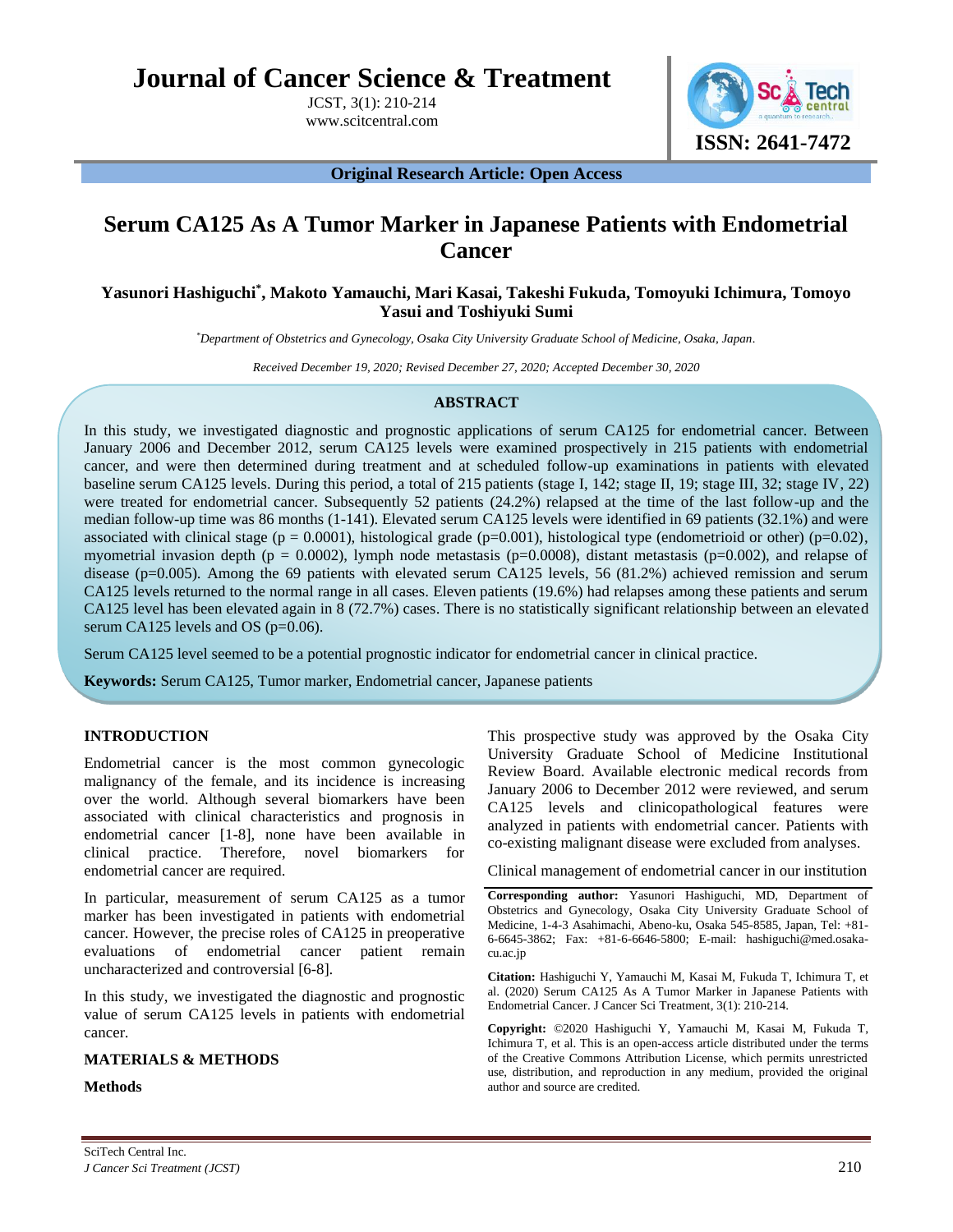**Journal of Cancer Science & Treatment**

JCST, 3(1): 210-214 www.scitcentral.com



**Original Research Article: Open Access**

# **Serum CA125 As A Tumor Marker in Japanese Patients with Endometrial Cancer**

## **Yasunori Hashiguchi\* , Makoto Yamauchi, Mari Kasai, Takeshi Fukuda, Tomoyuki Ichimura, Tomoyo Yasui and Toshiyuki Sumi**

*\*Department of Obstetrics and Gynecology, Osaka City University Graduate School of Medicine, Osaka, Japan.*

*Received December 19, 2020; Revised December 27, 2020; Accepted December 30, 2020*

## **ABSTRACT**

In this study, we investigated diagnostic and prognostic applications of serum CA125 for endometrial cancer. Between January 2006 and December 2012, serum CA125 levels were examined prospectively in 215 patients with endometrial cancer, and were then determined during treatment and at scheduled follow-up examinations in patients with elevated baseline serum CA125 levels. During this period, a total of 215 patients (stage I, 142; stage II, 19; stage III, 32; stage IV, 22) were treated for endometrial cancer. Subsequently 52 patients (24.2%) relapsed at the time of the last follow-up and the median follow-up time was 86 months (1-141). Elevated serum CA125 levels were identified in 69 patients (32.1%) and were associated with clinical stage ( $p = 0.0001$ ), histological grade ( $p=0.001$ ), histological type (endometrioid or other) ( $p=0.02$ ), myometrial invasion depth ( $p = 0.0002$ ), lymph node metastasis ( $p=0.0008$ ), distant metastasis ( $p=0.002$ ), and relapse of disease (p=0.005). Among the 69 patients with elevated serum CA125 levels, 56 (81.2%) achieved remission and serum CA125 levels returned to the normal range in all cases. Eleven patients (19.6%) had relapses among these patients and serum CA125 level has been elevated again in 8 (72.7%) cases. There is no statistically significant relationship between an elevated serum CA125 levels and OS (p=0.06).

Serum CA125 level seemed to be a potential prognostic indicator for endometrial cancer in clinical practice.

**Keywords:** Serum CA125, Tumor marker, Endometrial cancer, Japanese patients

## **INTRODUCTION**

Endometrial cancer is the most common gynecologic malignancy of the female, and its incidence is increasing over the world. Although several biomarkers have been associated with clinical characteristics and prognosis in endometrial cancer [1-8], none have been available in clinical practice. Therefore, novel biomarkers for endometrial cancer are required.

In particular, measurement of serum CA125 as a tumor marker has been investigated in patients with endometrial cancer. However, the precise roles of CA125 in preoperative evaluations of endometrial cancer patient remain uncharacterized and controversial [6-8].

In this study, we investigated the diagnostic and prognostic value of serum CA125 levels in patients with endometrial cancer.

## **MATERIALS & METHODS**

#### **Methods**

This prospective study was approved by the Osaka City University Graduate School of Medicine Institutional Review Board. Available electronic medical records from January 2006 to December 2012 were reviewed, and serum CA125 levels and clinicopathological features were analyzed in patients with endometrial cancer. Patients with co-existing malignant disease were excluded from analyses.

Clinical management of endometrial cancer in our institution

**Citation:** Hashiguchi Y, Yamauchi M, Kasai M, Fukuda T, Ichimura T, et al. (2020) Serum CA125 As A Tumor Marker in Japanese Patients with Endometrial Cancer. J Cancer Sci Treatment, 3(1): 210-214.

**Copyright:** ©2020 Hashiguchi Y, Yamauchi M, Kasai M, Fukuda T, Ichimura T, et al. This is an open-access article distributed under the terms of the Creative Commons Attribution License, which permits unrestricted use, distribution, and reproduction in any medium, provided the original author and source are credited.

**Corresponding author:** Yasunori Hashiguchi, MD, Department of Obstetrics and Gynecology, Osaka City University Graduate School of Medicine, 1-4-3 Asahimachi, Abeno-ku, Osaka 545-8585, Japan, Tel: +81- 6-6645-3862; Fax: +81-6-6646-5800; E-mail: hashiguchi@med.osakacu.ac.jp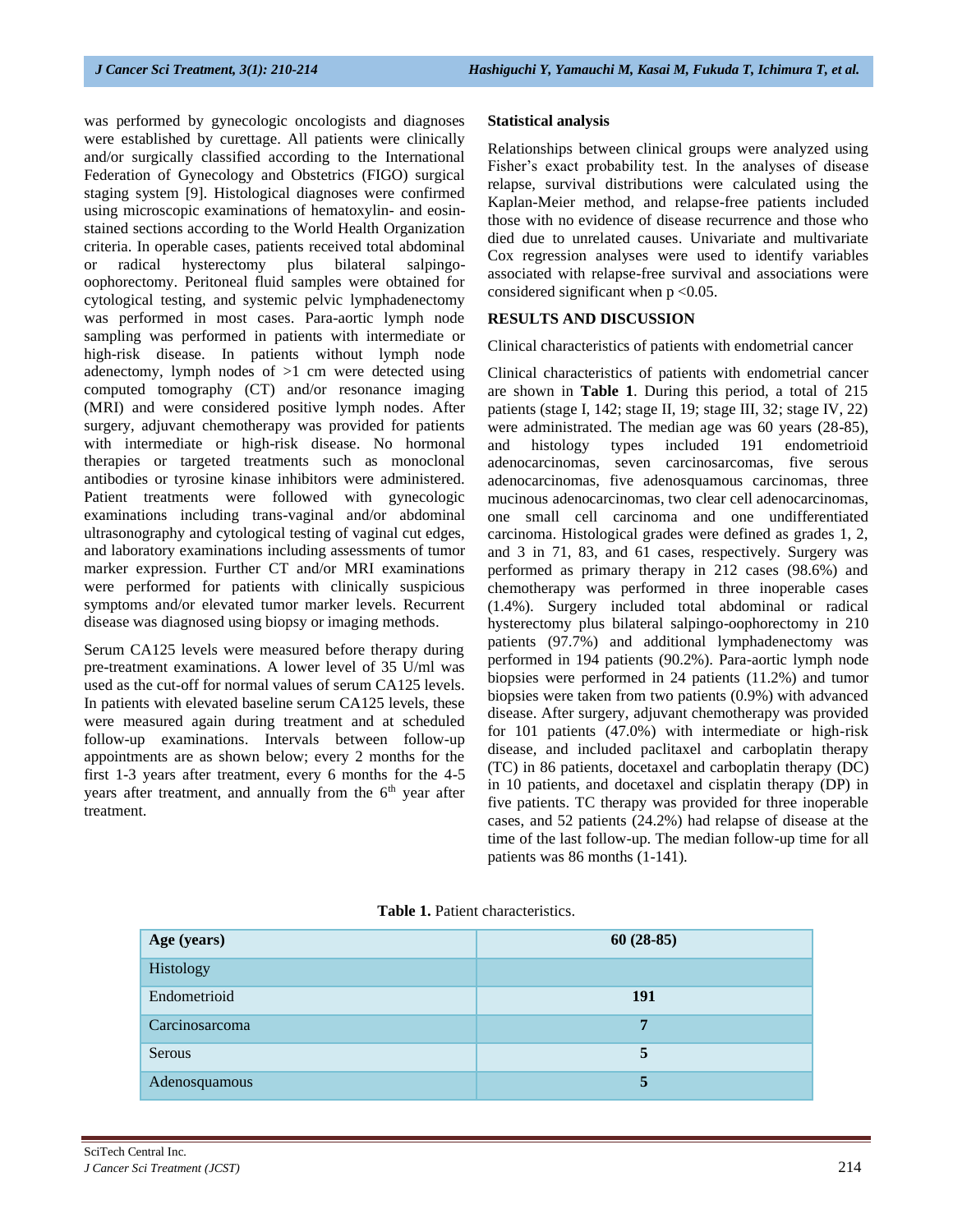was performed by gynecologic oncologists and diagnoses were established by curettage. All patients were clinically and/or surgically classified according to the International Federation of Gynecology and Obstetrics (FIGO) surgical staging system [9]. Histological diagnoses were confirmed using microscopic examinations of hematoxylin- and eosinstained sections according to the World Health Organization criteria. In operable cases, patients received total abdominal or radical hysterectomy plus bilateral salpingooophorectomy. Peritoneal fluid samples were obtained for cytological testing, and systemic pelvic lymphadenectomy was performed in most cases. Para-aortic lymph node sampling was performed in patients with intermediate or high-risk disease. In patients without lymph node adenectomy, lymph nodes of  $>1$  cm were detected using computed tomography (CT) and/or resonance imaging (MRI) and were considered positive lymph nodes. After surgery, adjuvant chemotherapy was provided for patients with intermediate or high-risk disease. No hormonal therapies or targeted treatments such as monoclonal antibodies or tyrosine kinase inhibitors were administered. Patient treatments were followed with gynecologic examinations including trans-vaginal and/or abdominal ultrasonography and cytological testing of vaginal cut edges, and laboratory examinations including assessments of tumor marker expression. Further CT and/or MRI examinations were performed for patients with clinically suspicious symptoms and/or elevated tumor marker levels. Recurrent disease was diagnosed using biopsy or imaging methods.

Serum CA125 levels were measured before therapy during pre-treatment examinations. A lower level of 35 U/ml was used as the cut-off for normal values of serum CA125 levels. In patients with elevated baseline serum CA125 levels, these were measured again during treatment and at scheduled follow-up examinations. Intervals between follow-up appointments are as shown below; every 2 months for the first 1-3 years after treatment, every 6 months for the 4-5 years after treatment, and annually from the  $6<sup>th</sup>$  year after treatment.

#### **Statistical analysis**

Relationships between clinical groups were analyzed using Fisher's exact probability test. In the analyses of disease relapse, survival distributions were calculated using the Kaplan-Meier method, and relapse-free patients included those with no evidence of disease recurrence and those who died due to unrelated causes. Univariate and multivariate Cox regression analyses were used to identify variables associated with relapse-free survival and associations were considered significant when  $p < 0.05$ .

#### **RESULTS AND DISCUSSION**

Clinical characteristics of patients with endometrial cancer

Clinical characteristics of patients with endometrial cancer are shown in **Table 1**. During this period, a total of 215 patients (stage I, 142; stage II, 19; stage III, 32; stage IV, 22) were administrated. The median age was 60 years (28-85), and histology types included 191 endometrioid and histology types included 191 endometrioid adenocarcinomas, seven carcinosarcomas, five serous adenocarcinomas, five adenosquamous carcinomas, three mucinous adenocarcinomas, two clear cell adenocarcinomas, one small cell carcinoma and one undifferentiated carcinoma. Histological grades were defined as grades 1, 2, and 3 in 71, 83, and 61 cases, respectively. Surgery was performed as primary therapy in 212 cases (98.6%) and chemotherapy was performed in three inoperable cases (1.4%). Surgery included total abdominal or radical hysterectomy plus bilateral salpingo-oophorectomy in 210 patients (97.7%) and additional lymphadenectomy was performed in 194 patients (90.2%). Para-aortic lymph node biopsies were performed in 24 patients (11.2%) and tumor biopsies were taken from two patients (0.9%) with advanced disease. After surgery, adjuvant chemotherapy was provided for 101 patients (47.0%) with intermediate or high-risk disease, and included paclitaxel and carboplatin therapy (TC) in 86 patients, docetaxel and carboplatin therapy (DC) in 10 patients, and docetaxel and cisplatin therapy (DP) in five patients. TC therapy was provided for three inoperable cases, and 52 patients (24.2%) had relapse of disease at the time of the last follow-up. The median follow-up time for all patients was 86 months (1-141).

| Age (years)    | $60(28-85)$ |
|----------------|-------------|
| Histology      |             |
| Endometrioid   | 191         |
| Carcinosarcoma | 7           |
| Serous         | 5           |
| Adenosquamous  | 5           |

**Table 1.** Patient characteristics.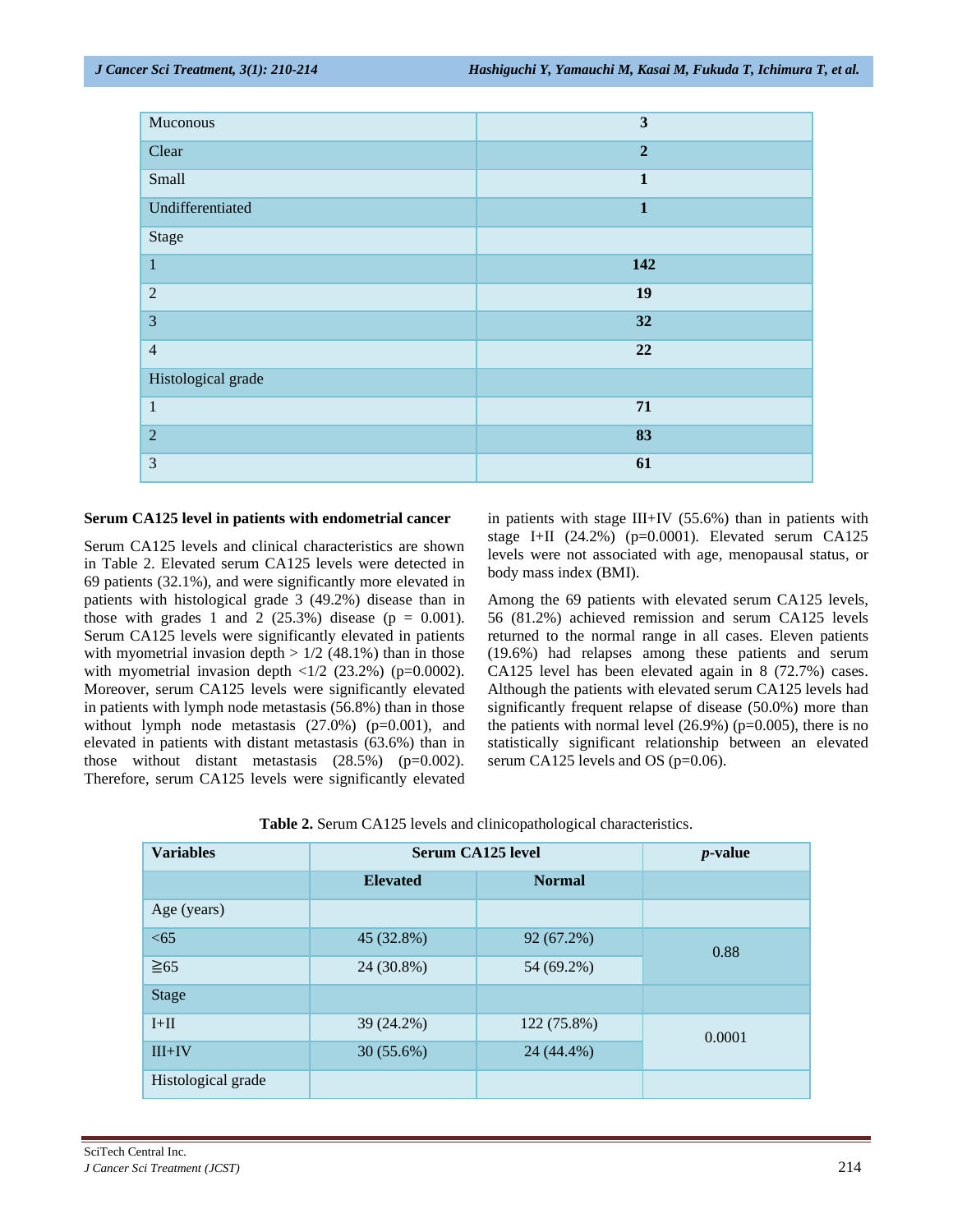| Muconous           | $\mathbf{3}$   |
|--------------------|----------------|
| Clear              | $\overline{2}$ |
| Small              | $\mathbf{1}$   |
| Undifferentiated   | $\mathbf{1}$   |
| Stage              |                |
| $\mathbf{1}$       | 142            |
| $\mathbf{2}$       | 19             |
| 3                  | 32             |
| $\overline{4}$     | 22             |
| Histological grade |                |
| $\,1\,$            | 71             |
| $\overline{2}$     | 83             |
| 3                  | 61             |

#### **Serum CA125 level in patients with endometrial cancer**

Serum CA125 levels and clinical characteristics are shown in Table 2. Elevated serum CA125 levels were detected in 69 patients (32.1%), and were significantly more elevated in patients with histological grade 3 (49.2%) disease than in those with grades 1 and 2  $(25.3\%)$  disease (p = 0.001). Serum CA125 levels were significantly elevated in patients with myometrial invasion depth  $> 1/2$  (48.1%) than in those with myometrial invasion depth  $\langle 1/2 \rangle$  (23.2%) (p=0.0002). Moreover, serum CA125 levels were significantly elevated in patients with lymph node metastasis (56.8%) than in those without lymph node metastasis (27.0%) (p=0.001), and elevated in patients with distant metastasis (63.6%) than in those without distant metastasis (28.5%) (p=0.002). Therefore, serum CA125 levels were significantly elevated in patients with stage III+IV (55.6%) than in patients with stage I+II (24.2%) (p=0.0001). Elevated serum CA125 levels were not associated with age, menopausal status, or body mass index (BMI).

Among the 69 patients with elevated serum CA125 levels, 56 (81.2%) achieved remission and serum CA125 levels returned to the normal range in all cases. Eleven patients (19.6%) had relapses among these patients and serum CA125 level has been elevated again in 8 (72.7%) cases. Although the patients with elevated serum CA125 levels had significantly frequent relapse of disease (50.0%) more than the patients with normal level  $(26.9\%)$  (p=0.005), there is no statistically significant relationship between an elevated serum CA125 levels and OS (p=0.06).

| Table 2. Serum CA125 levels and clinicopathological characteristics. |  |  |  |
|----------------------------------------------------------------------|--|--|--|
|                                                                      |  |  |  |

| <b>Variables</b>   | <b>Serum CA125 level</b> |               | $p$ -value |  |
|--------------------|--------------------------|---------------|------------|--|
|                    | <b>Elevated</b>          | <b>Normal</b> |            |  |
| Age (years)        |                          |               |            |  |
| <65                | 45 (32.8%)               | 92 (67.2%)    | 0.88       |  |
| $\geq 65$          | 24 (30.8%)               | 54 (69.2%)    |            |  |
| <b>Stage</b>       |                          |               |            |  |
| $I+II$             | 39 (24.2%)               | 122 (75.8%)   | 0.0001     |  |
| $III+IV$           | $30(55.6\%)$             | 24 (44.4%)    |            |  |
| Histological grade |                          |               |            |  |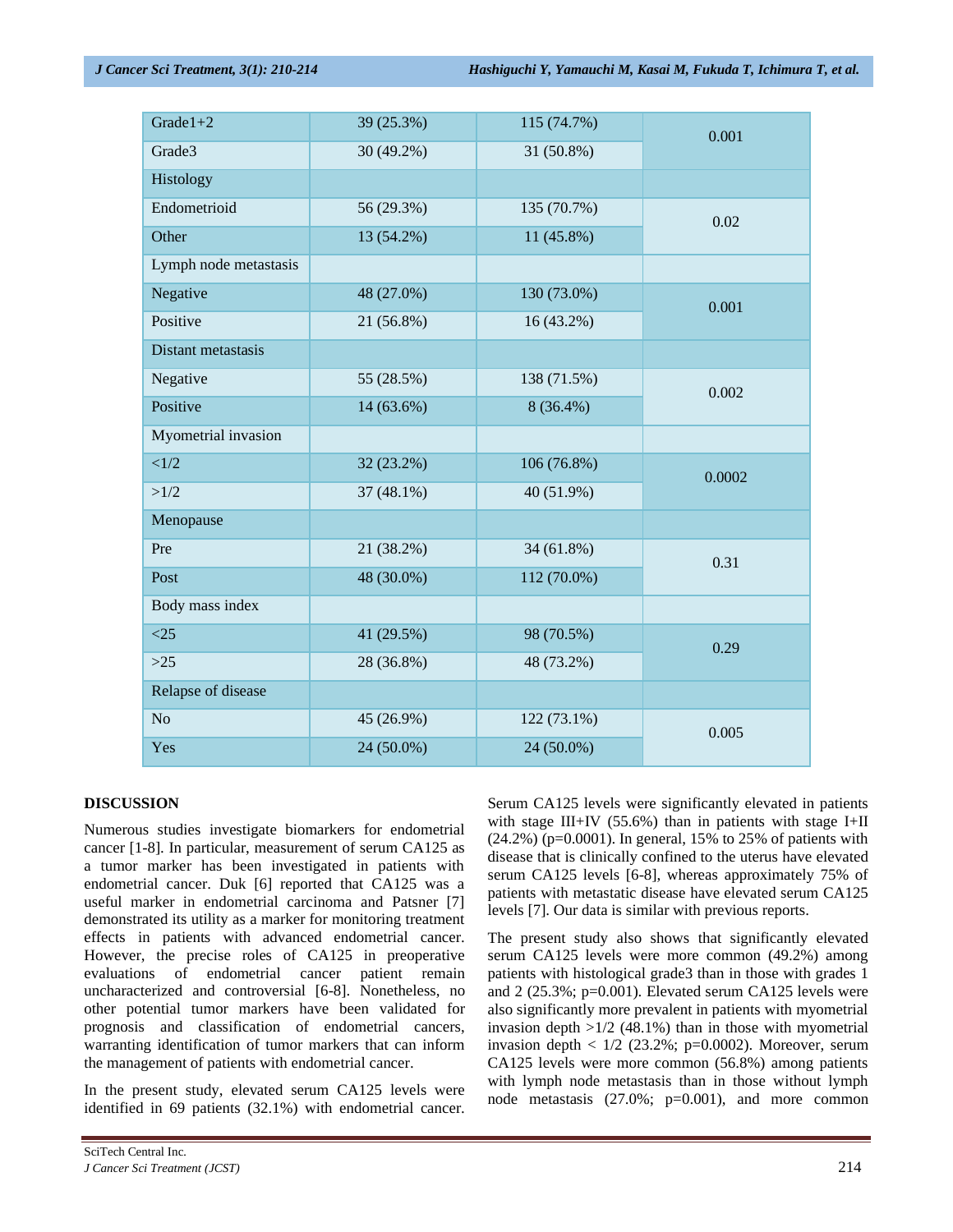| Grade $1+2$           | 39 (25.3%) | 115 (74.7%) | 0.001  |  |
|-----------------------|------------|-------------|--------|--|
| Grade3                | 30 (49.2%) | 31 (50.8%)  |        |  |
| Histology             |            |             |        |  |
| Endometrioid          | 56 (29.3%) | 135 (70.7%) | 0.02   |  |
| Other                 | 13 (54.2%) | 11 (45.8%)  |        |  |
| Lymph node metastasis |            |             |        |  |
| Negative              | 48 (27.0%) | 130 (73.0%) | 0.001  |  |
| Positive              | 21 (56.8%) | 16(43.2%)   |        |  |
| Distant metastasis    |            |             |        |  |
| Negative              | 55 (28.5%) | 138 (71.5%) | 0.002  |  |
| Positive              | 14 (63.6%) | $8(36.4\%)$ |        |  |
| Myometrial invasion   |            |             |        |  |
| <1/2                  | 32 (23.2%) | 106 (76.8%) | 0.0002 |  |
| >1/2                  | 37 (48.1%) | 40 (51.9%)  |        |  |
| Menopause             |            |             |        |  |
| Pre                   | 21 (38.2%) | 34 (61.8%)  | 0.31   |  |
| Post                  | 48 (30.0%) | 112 (70.0%) |        |  |
| Body mass index       |            |             |        |  |
| <25                   | 41 (29.5%) | 98 (70.5%)  | 0.29   |  |
| $>25$                 | 28 (36.8%) | 48 (73.2%)  |        |  |
| Relapse of disease    |            |             |        |  |
| No                    | 45 (26.9%) | 122 (73.1%) | 0.005  |  |
| Yes                   | 24 (50.0%) | 24 (50.0%)  |        |  |

## **DISCUSSION**

Numerous studies investigate biomarkers for endometrial cancer [1-8]. In particular, measurement of serum CA125 as a tumor marker has been investigated in patients with endometrial cancer. Duk [6] reported that CA125 was a useful marker in endometrial carcinoma and Patsner [7] demonstrated its utility as a marker for monitoring treatment effects in patients with advanced endometrial cancer. However, the precise roles of CA125 in preoperative evaluations of endometrial cancer patient remain uncharacterized and controversial [6-8]. Nonetheless, no other potential tumor markers have been validated for prognosis and classification of endometrial cancers, warranting identification of tumor markers that can inform the management of patients with endometrial cancer.

In the present study, elevated serum CA125 levels were identified in 69 patients (32.1%) with endometrial cancer.

Serum CA125 levels were significantly elevated in patients with stage III+IV (55.6%) than in patients with stage I+II (24.2%) (p=0.0001). In general, 15% to 25% of patients with disease that is clinically confined to the uterus have elevated serum CA125 levels [6-8], whereas approximately 75% of patients with metastatic disease have elevated serum CA125 levels [7]. Our data is similar with previous reports.

The present study also shows that significantly elevated serum CA125 levels were more common (49.2%) among patients with histological grade3 than in those with grades 1 and 2 (25.3%; p=0.001). Elevated serum CA125 levels were also significantly more prevalent in patients with myometrial invasion depth  $>1/2$  (48.1%) than in those with myometrial invasion depth  $< 1/2$  (23.2%; p=0.0002). Moreover, serum CA125 levels were more common (56.8%) among patients with lymph node metastasis than in those without lymph node metastasis (27.0%; p=0.001), and more common